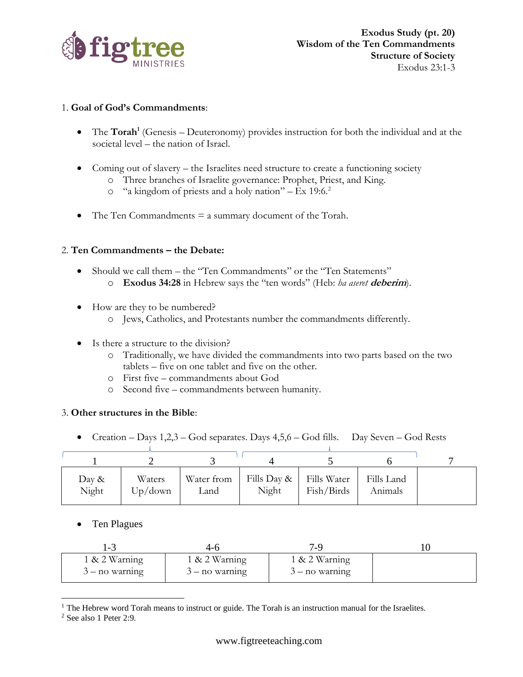

## 1. **Goal of God's Commandments**:

- The **Torah<sup>1</sup>** (Genesis Deuteronomy) provides instruction for both the individual and at the societal level – the nation of Israel.
- Coming out of slavery the Israelites need structure to create a functioning society
	- o Three branches of Israelite governance: Prophet, Priest, and King.
		- o "a kingdom of priests and a holy nation" Ex 19:6. 2
- The Ten Commandments  $=$  a summary document of the Torah.

## 2. **Ten Commandments – the Debate:**

- Should we call them the "Ten Commandments" or the "Ten Statements"
	- o **Exodus 34:28** in Hebrew says the "ten words" (Heb: *ha aseret* **deberim**).
- How are they to be numbered?
	- o Jews, Catholics, and Protestants number the commandments differently.
- Is there a structure to the division?
	- o Traditionally, we have divided the commandments into two parts based on the two tablets – five on one tablet and five on the other.
	- o First five commandments about God
	- o Second five commandments between humanity.

## 3. **Other structures in the Bible**:

• Creation – Days 1,2,3 – God separates. Days 4,5,6 – God fills. Day Seven – God Rests

| Day &<br>Night | Waters<br>Up/down | Water from<br>Land | Fills Day & Fills Water<br>Night | Fish/Birds | Fills Land<br>Animals |  |
|----------------|-------------------|--------------------|----------------------------------|------------|-----------------------|--|

## • Ten Plagues

| - - ا            | 4-h              |                  |  |
|------------------|------------------|------------------|--|
| $1 & 2$ Warning  | $1 & 2$ Warning  | 1 & 2 Warning    |  |
| $3 - no warning$ | $3 - no$ warning | $3 - no$ warning |  |

<sup>&</sup>lt;sup>1</sup> The Hebrew word Torah means to instruct or guide. The Torah is an instruction manual for the Israelites.

<sup>2</sup> See also 1 Peter 2:9.